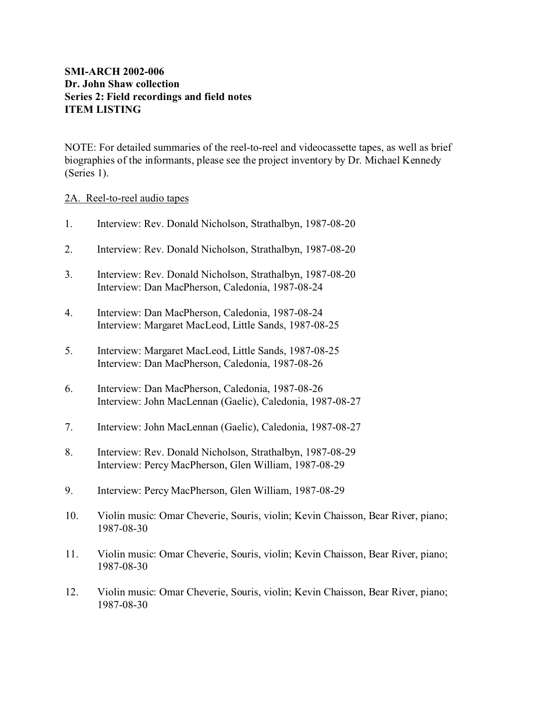# **SMI-ARCH 2002-006 Dr. John Shaw collection Series 2: Field recordings and field notes ITEM LISTING**

NOTE: For detailed summaries of the reel-to-reel and videocassette tapes, as well as brief biographies of the informants, please see the project inventory by Dr. Michael Kennedy (Series 1).

### 2A. Reel-to-reel audio tapes

- 1. Interview: Rev. Donald Nicholson, Strathalbyn, 1987-08-20
- 2. Interview: Rev. Donald Nicholson, Strathalbyn, 1987-08-20
- 3. Interview: Rev. Donald Nicholson, Strathalbyn, 1987-08-20 Interview: Dan MacPherson, Caledonia, 1987-08-24
- 4. Interview: Dan MacPherson, Caledonia, 1987-08-24 Interview: Margaret MacLeod, Little Sands, 1987-08-25
- 5. Interview: Margaret MacLeod, Little Sands, 1987-08-25 Interview: Dan MacPherson, Caledonia, 1987-08-26
- 6. Interview: Dan MacPherson, Caledonia, 1987-08-26 Interview: John MacLennan (Gaelic), Caledonia, 1987-08-27
- 7. Interview: John MacLennan (Gaelic), Caledonia, 1987-08-27
- 8. Interview: Rev. Donald Nicholson, Strathalbyn, 1987-08-29 Interview: Percy MacPherson, Glen William, 1987-08-29
- 9. Interview: Percy MacPherson, Glen William, 1987-08-29
- 10. Violin music: Omar Cheverie, Souris, violin; Kevin Chaisson, Bear River, piano; 1987-08-30
- 11. Violin music: Omar Cheverie, Souris, violin; Kevin Chaisson, Bear River, piano; 1987-08-30
- 12. Violin music: Omar Cheverie, Souris, violin; Kevin Chaisson, Bear River, piano; 1987-08-30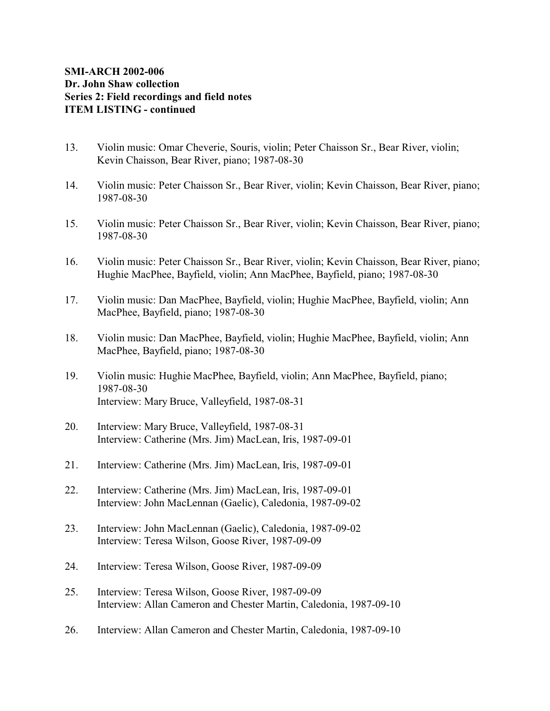# **SMI-ARCH 2002-006 Dr. John Shaw collection Series 2: Field recordings and field notes ITEM LISTING - continued**

- 13. Violin music: Omar Cheverie, Souris, violin; Peter Chaisson Sr., Bear River, violin; Kevin Chaisson, Bear River, piano; 1987-08-30
- 14. Violin music: Peter Chaisson Sr., Bear River, violin; Kevin Chaisson, Bear River, piano; 1987-08-30
- 15. Violin music: Peter Chaisson Sr., Bear River, violin; Kevin Chaisson, Bear River, piano; 1987-08-30
- 16. Violin music: Peter Chaisson Sr., Bear River, violin; Kevin Chaisson, Bear River, piano; Hughie MacPhee, Bayfield, violin; Ann MacPhee, Bayfield, piano; 1987-08-30
- 17. Violin music: Dan MacPhee, Bayfield, violin; Hughie MacPhee, Bayfield, violin; Ann MacPhee, Bayfield, piano; 1987-08-30
- 18. Violin music: Dan MacPhee, Bayfield, violin; Hughie MacPhee, Bayfield, violin; Ann MacPhee, Bayfield, piano; 1987-08-30
- 19. Violin music: Hughie MacPhee, Bayfield, violin; Ann MacPhee, Bayfield, piano; 1987-08-30 Interview: Mary Bruce, Valleyfield, 1987-08-31
- 20. Interview: Mary Bruce, Valleyfield, 1987-08-31 Interview: Catherine (Mrs. Jim) MacLean, Iris, 1987-09-01
- 21. Interview: Catherine (Mrs. Jim) MacLean, Iris, 1987-09-01
- 22. Interview: Catherine (Mrs. Jim) MacLean, Iris, 1987-09-01 Interview: John MacLennan (Gaelic), Caledonia, 1987-09-02
- 23. Interview: John MacLennan (Gaelic), Caledonia, 1987-09-02 Interview: Teresa Wilson, Goose River, 1987-09-09
- 24. Interview: Teresa Wilson, Goose River, 1987-09-09
- 25. Interview: Teresa Wilson, Goose River, 1987-09-09 Interview: Allan Cameron and Chester Martin, Caledonia, 1987-09-10
- 26. Interview: Allan Cameron and Chester Martin, Caledonia, 1987-09-10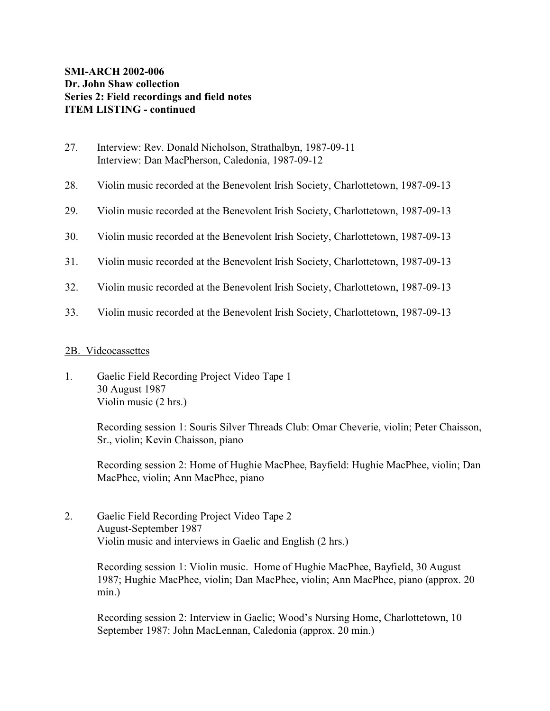- 27. Interview: Rev. Donald Nicholson, Strathalbyn, 1987-09-11 Interview: Dan MacPherson, Caledonia, 1987-09-12
- 28. Violin music recorded at the Benevolent Irish Society, Charlottetown, 1987-09-13
- 29. Violin music recorded at the Benevolent Irish Society, Charlottetown, 1987-09-13
- 30. Violin music recorded at the Benevolent Irish Society, Charlottetown, 1987-09-13
- 31. Violin music recorded at the Benevolent Irish Society, Charlottetown, 1987-09-13
- 32. Violin music recorded at the Benevolent Irish Society, Charlottetown, 1987-09-13
- 33. Violin music recorded at the Benevolent Irish Society, Charlottetown, 1987-09-13

### 2B. Videocassettes

1. Gaelic Field Recording Project Video Tape 1 30 August 1987 Violin music (2 hrs.)

> Recording session 1: Souris Silver Threads Club: Omar Cheverie, violin; Peter Chaisson, Sr., violin; Kevin Chaisson, piano

> Recording session 2: Home of Hughie MacPhee, Bayfield: Hughie MacPhee, violin; Dan MacPhee, violin; Ann MacPhee, piano

2. Gaelic Field Recording Project Video Tape 2 August-September 1987 Violin music and interviews in Gaelic and English (2 hrs.)

> Recording session 1: Violin music. Home of Hughie MacPhee, Bayfield, 30 August 1987; Hughie MacPhee, violin; Dan MacPhee, violin; Ann MacPhee, piano (approx. 20 min.)

Recording session 2: Interview in Gaelic; Wood's Nursing Home, Charlottetown, 10 September 1987: John MacLennan, Caledonia (approx. 20 min.)